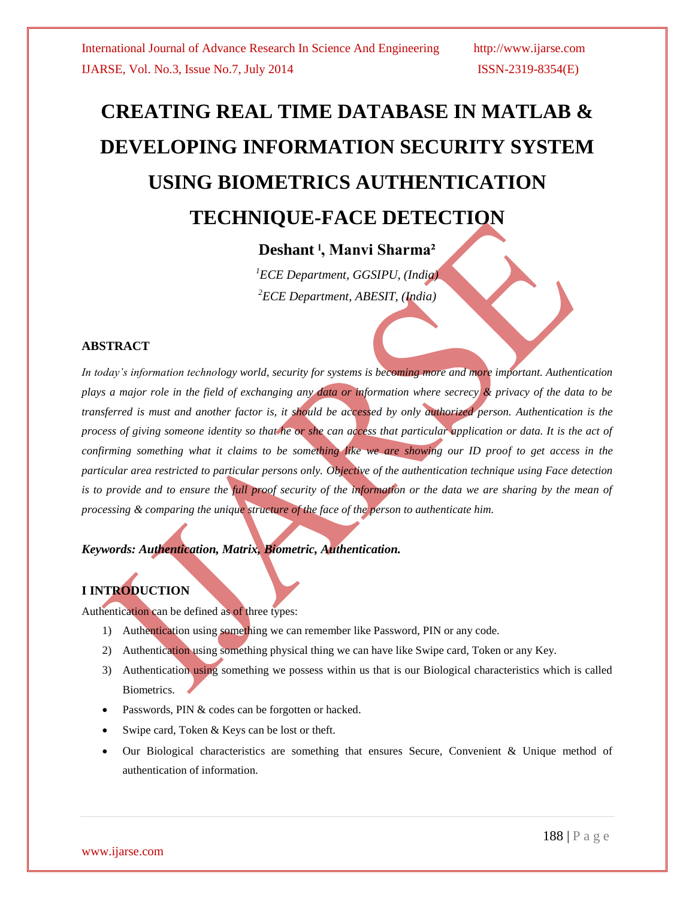# **CREATING REAL TIME DATABASE IN MATLAB & DEVELOPING INFORMATION SECURITY SYSTEM USING BIOMETRICS AUTHENTICATION TECHNIQUE-FACE DETECTION**

# **Deshant ˡ, Manvi Sharma²**

*<sup>1</sup>ECE Department, GGSIPU, (India) <sup>2</sup>ECE Department, ABESIT, (India)*

### **ABSTRACT**

*In today's information technology world, security for systems is becoming more and more important. Authentication plays a major role in the field of exchanging any data or information where secrecy & privacy of the data to be transferred is must and another factor is, it should be accessed by only authorized person. Authentication is the process of giving someone identity so that he or she can access that particular application or data. It is the act of confirming something what it claims to be something like we are showing our ID proof to get access in the particular area restricted to particular persons only. Objective of the authentication technique using Face detection is to provide and to ensure the full proof security of the information or the data we are sharing by the mean of processing & comparing the unique structure of the face of the person to authenticate him.*

*Keywords: Authentication, Matrix, Biometric, Authentication.*

# **I INTRODUCTION**

Authentication can be defined as of three types:

- 1) Authentication using something we can remember like Password, PIN or any code.
- 2) Authentication using something physical thing we can have like Swipe card, Token or any Key.
- 3) Authentication using something we possess within us that is our Biological characteristics which is called Biometrics.
- Passwords, PIN & codes can be forgotten or hacked.
- Swipe card, Token & Keys can be lost or theft.
- Our Biological characteristics are something that ensures Secure, Convenient & Unique method of authentication of information.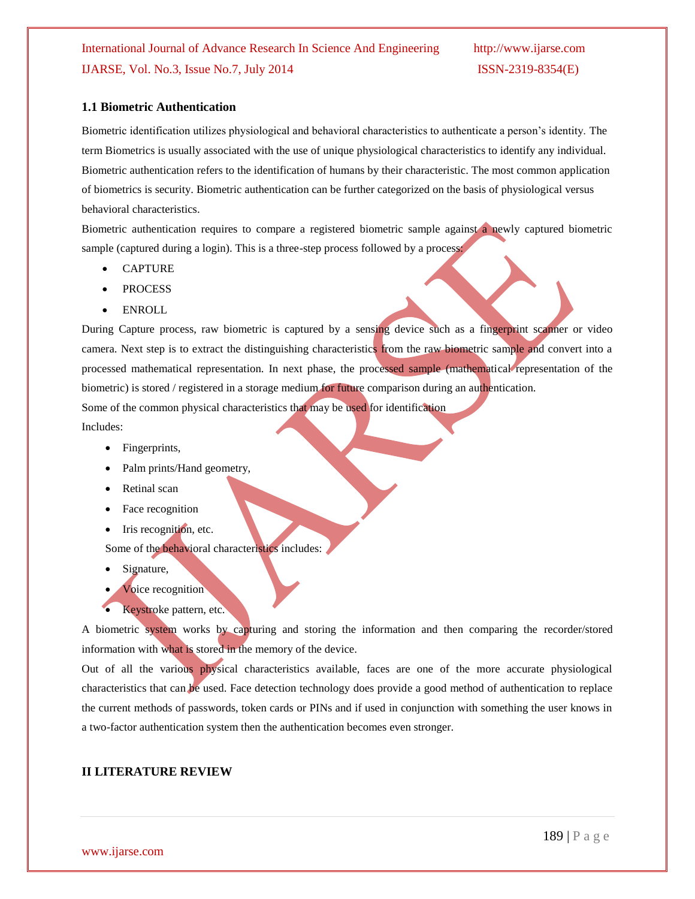#### **1.1 Biometric Authentication**

Biometric identification utilizes physiological and behavioral characteristics to authenticate a person's identity. The term Biometrics is usually associated with the use of unique physiological characteristics to identify any individual. Biometric authentication refers to the identification of humans by their characteristic. The most common application of biometrics is security. Biometric authentication can be further categorized on the basis of physiological versus behavioral characteristics.

Biometric authentication requires to compare a registered biometric sample against a newly captured biometric sample (captured during a login). This is a three-step process followed by a process:

- CAPTURE
- PROCESS
- ENROLL

During Capture process, raw biometric is captured by a sensing device such as a fingerprint scanner or video camera. Next step is to extract the distinguishing characteristics from the raw biometric sample and convert into a processed mathematical representation. In next phase, the processed sample (mathematical representation of the biometric) is stored / registered in a storage medium for future comparison during an authentication. Some of the common physical characteristics that may be used for identification

Includes:

- Fingerprints,
- Palm prints/Hand geometry,
- Retinal scan
- Face recognition
- Iris recognition, etc.

Some of the behavioral characteristics includes:

- Signature,
- Voice recognition
- Keystroke pattern, etc.

A biometric system works by capturing and storing the information and then comparing the recorder/stored information with what is stored in the memory of the device.

Out of all the various physical characteristics available, faces are one of the more accurate physiological characteristics that can be used. Face detection technology does provide a good method of authentication to replace the current methods of passwords, token cards or PINs and if used in conjunction with something the user knows in a two-factor authentication system then the authentication becomes even stronger.

#### **II LITERATURE REVIEW**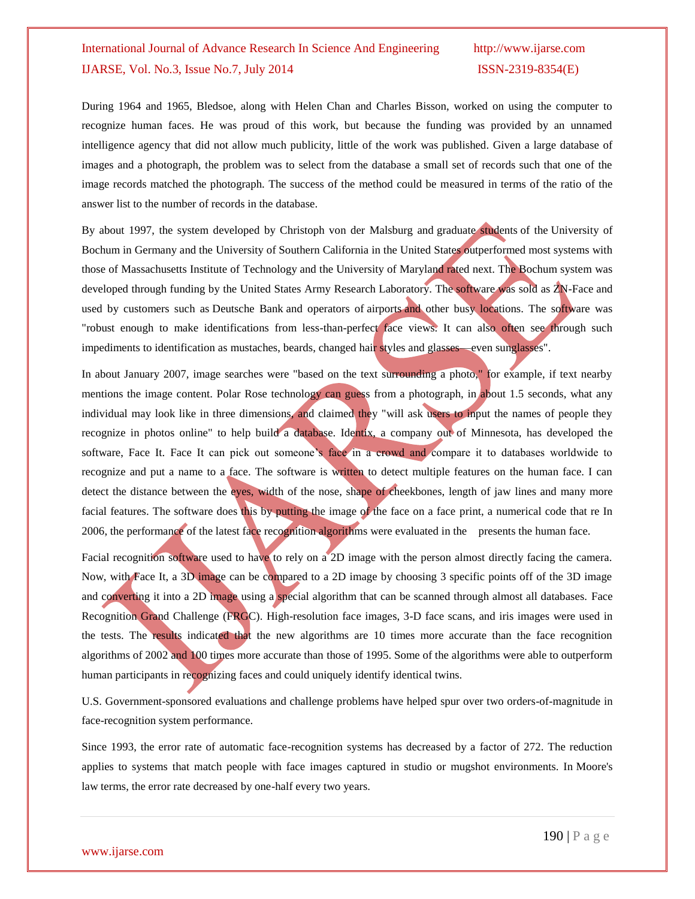During 1964 and 1965, Bledsoe, along with Helen Chan and Charles Bisson, worked on using the computer to recognize human faces. He was proud of this work, but because the funding was provided by an unnamed intelligence agency that did not allow much publicity, little of the work was published. Given a large database of images and a photograph, the problem was to select from the database a small set of records such that one of the image records matched the photograph. The success of the method could be measured in terms of the ratio of the answer list to the number of records in the database.

By about 1997, the system developed by Christoph von der Malsburg and [graduate students](http://en.wikipedia.org/wiki/Graduate_student) of the [University of](http://en.wikipedia.org/wiki/University_of_Bochum)  [Bochum](http://en.wikipedia.org/wiki/University_of_Bochum) in Germany and the [University of Southern California](http://en.wikipedia.org/wiki/University_of_Southern_California) in the United States outperformed most systems with those of [Massachusetts Institute of Technology](http://en.wikipedia.org/wiki/Massachusetts_Institute_of_Technology) and the [University of Maryland](http://en.wikipedia.org/wiki/University_of_Maryland,_College_Park) rated next. The Bochum system was developed through funding by the [United States Army Research Laboratory.](http://en.wikipedia.org/wiki/United_States_Army_Research_Laboratory) The [software](http://en.wikipedia.org/wiki/Software) was sold as [ZN-Face](http://en.wikipedia.org/w/index.php?title=ZN-Face&action=edit&redlink=1) and used by customers such as [Deutsche Bank](http://en.wikipedia.org/wiki/Deutsche_Bank) and operators of [airports](http://en.wikipedia.org/wiki/Airport) and other busy locations. The software was "robust enough to make identifications from less-than-perfect face views. It can also often see through such impediments to identification as mustaches, beards, changed hair styles and glasses—even sunglasses".

In about January 2007, image searches were "based on the text surrounding a photo," for example, if text nearby mentions the image content. Polar Rose technology can guess from a photograph, in about 1.5 seconds, what any individual may look like in three dimensions, and claimed they "will ask users to input the names of people they recognize in photos online" to help build a database. Identix, a company out of Minnesota, has developed the software, Face It. Face It can pick out someone's face in a crowd and compare it to databases worldwide to recognize and put a name to a face. The software is written to detect multiple features on the human face. I can detect the distance between the eyes, width of the nose, shape of cheekbones, length of jaw lines and many more facial features. The software does this by putting the image of the face on a face print, a numerical code that re In 2006, the performance of the latest face recognition algorithms were evaluated in the presents the human face.

Facial recognition software used to have to rely on a 2D image with the person almost directly facing the camera. Now, with Face It, a 3D image can be compared to a 2D image by choosing 3 specific points off of the 3D image and converting it into a 2D image using a special algorithm that can be scanned through almost all databases. [Face](http://en.wikipedia.org/wiki/Face_Recognition_Grand_Challenge_(FRGC))  Recognition Grand [Challenge \(FRGC\).](http://en.wikipedia.org/wiki/Face_Recognition_Grand_Challenge_(FRGC)) High-resolution face images, 3-D face scans, and iris images were used in the tests. The results indicated that the new algorithms are 10 times more accurate than the face recognition algorithms of 2002 and 100 times more accurate than those of 1995. Some of the algorithms were able to outperform human participants in recognizing faces and could uniquely identify identical twins.

[U.S. Government-sponsored evaluations and challenge problems](http://www.nist.gov/itl/iad/ig/face.cfm) have helped spur over two orders-of-magnitude in face-recognition system performance.

Since 1993, the error rate of automatic face-recognition systems has decreased by a factor of 272. The reduction applies to systems that match people with face images captured in studio or mugshot environments. In [Moore's](http://en.wikipedia.org/wiki/Moore%27s_law)  [law](http://en.wikipedia.org/wiki/Moore%27s_law) terms, the error rate decreased by one-half every two years.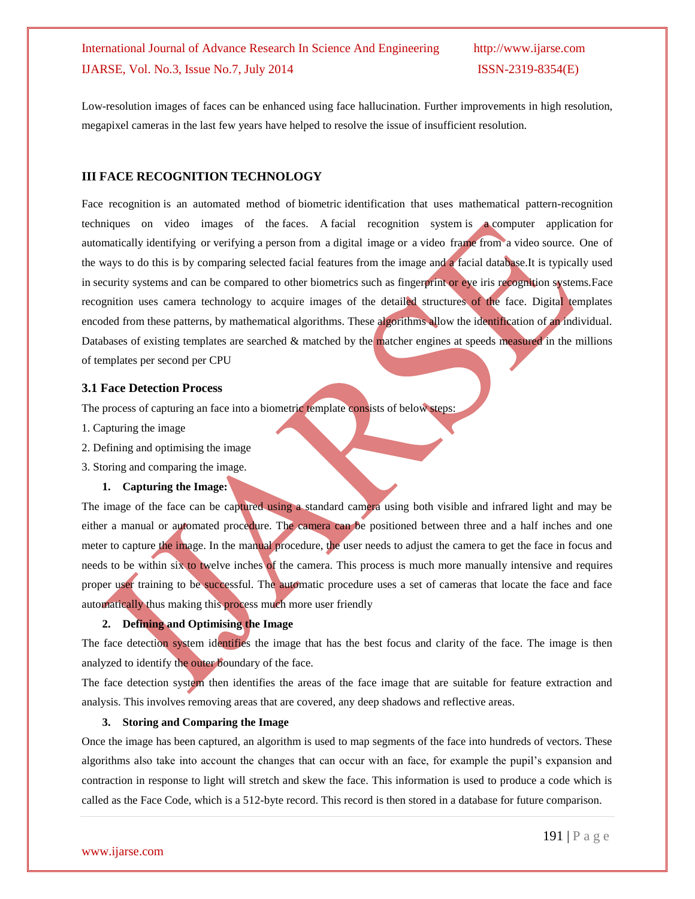Low-resolution images of faces can be enhanced using [face hallucination.](http://en.wikipedia.org/wiki/Face_hallucination) Further improvements in high resolution, megapixel cameras in the last few years have helped to resolve the issue of insufficient resolution.

#### **III FACE RECOGNITION TECHNOLOGY**

Face recognition is an automated method of [biometric](http://en.wikipedia.org/wiki/Biometrics) identification that uses mathematical pattern-recognition techniques on video images of the [faces.](http://en.wikipedia.org/wiki/Iris_(anatomy)) A facial recognition system is a [computer application](http://en.wikipedia.org/wiki/Application_software) for automatically [identifying](http://en.wikipedia.org/wiki/Identification_of_human_individuals) or [verifying](http://en.wikipedia.org/wiki/Authentication) a [person](http://en.wikipedia.org/wiki/Person) from a [digital image](http://en.wikipedia.org/wiki/Digital_image) or a [video frame](http://en.wikipedia.org/wiki/Film_frame) from a [video](http://en.wikipedia.org/wiki/Video) source. One of the ways to do this is by comparing selected [facial features](http://en.wikipedia.org/wiki/Face) from the image and a facial [database.](http://en.wikipedia.org/wiki/Database_management_system)It is typically used in [security systems](http://en.wikipedia.org/wiki/Burglar_alarm) and can be compared to other [biometrics](http://en.wikipedia.org/wiki/Biometrics) such as [fingerprint](http://en.wikipedia.org/wiki/Fingerprint) or eye [iris recognition](http://en.wikipedia.org/wiki/Iris_recognition) systems.Face recognition uses camera technology to acquire images of the detailed structures of the face. Digital templates encoded from these patterns, by mathematical algorithms. These algorithms allow the identification of an individual. Databases of existing templates are searched  $\&$  matched by the matcher engines at speeds measured in the millions of templates per second per CPU

#### **3.1 Face Detection Process**

The process of capturing an face into a biometric template consists of below steps:

- 1. Capturing the image
- 2. Defining and optimising the image
- 3. Storing and comparing the image.
	- **1. Capturing the Image:**

The image of the face can be captured using a standard camera using both visible and infrared light and may be either a manual or automated procedure. The camera can be positioned between three and a half inches and one meter to capture the image. In the manual procedure, the user needs to adjust the camera to get the face in focus and needs to be within six to twelve inches of the camera. This process is much more manually intensive and requires proper user training to be successful. The automatic procedure uses a set of cameras that locate the face and face automatically thus making this process much more user friendly

#### **2. Defining and Optimising the Image**

The face detection system identifies the image that has the best focus and clarity of the face. The image is then analyzed to identify the outer boundary of the face.

The face detection system then identifies the areas of the face image that are suitable for feature extraction and analysis. This involves removing areas that are covered, any deep shadows and reflective areas.

#### **3. Storing and Comparing the Image**

Once the image has been captured, an algorithm is used to map segments of the face into hundreds of vectors. These algorithms also take into account the changes that can occur with an face, for example the pupil's expansion and contraction in response to light will stretch and skew the face. This information is used to produce a code which is called as the Face Code, which is a 512-byte record. This record is then stored in a database for future comparison.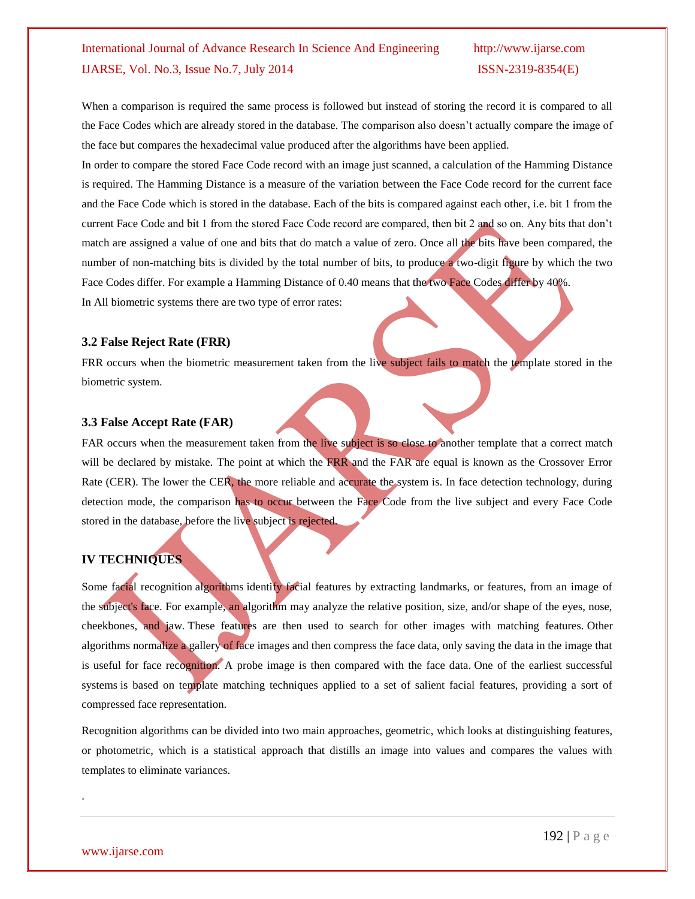When a comparison is required the same process is followed but instead of storing the record it is compared to all the Face Codes which are already stored in the database. The comparison also doesn't actually compare the image of the face but compares the hexadecimal value produced after the algorithms have been applied.

In order to compare the stored Face Code record with an image just scanned, a calculation of the Hamming Distance is required. The Hamming Distance is a measure of the variation between the Face Code record for the current face and the Face Code which is stored in the database. Each of the bits is compared against each other, i.e. bit 1 from the current Face Code and bit 1 from the stored Face Code record are compared, then bit 2 and so on. Any bits that don't match are assigned a value of one and bits that do match a value of zero. Once all the bits have been compared, the number of non-matching bits is divided by the total number of bits, to produce a two-digit figure by which the two Face Codes differ. For example a Hamming Distance of 0.40 means that the two Face Codes differ by 40%.

In All biometric systems there are two type of error rates:

#### **3.2 False Reject Rate (FRR)**

FRR occurs when the biometric measurement taken from the live subject fails to match the template stored in the biometric system.

#### **3.3 False Accept Rate (FAR)**

FAR occurs when the measurement taken from the live subject is so close to another template that a correct match will be declared by mistake. The point at which the FRR and the FAR are equal is known as the Crossover Error Rate (CER). The lower the CER, the more reliable and accurate the system is. In face detection technology, during detection mode, the comparison has to occur between the Face Code from the live subject and every Face Code stored in the database, before the live subject is rejected.

### **IV TECHNIQUES**

Some facial recognition [algorithms](http://en.wikipedia.org/wiki/Algorithms) identify facial features by extracting landmarks, or features, from an image of the subject's face. For example, an algorithm may analyze the relative position, size, and/or shape of the eyes, nose, cheekbones, and jaw. These features are then used to search for other images with matching features. Other algorithms normalize a gallery of face images and then compress the face data, only saving the data in the image that is useful for face recognition. A probe image is then compared with the face data. One of the earliest successful systems is based on template matching techniques applied to a set of salient facial features, providing a sort of compressed face representation.

Recognition algorithms can be divided into two main approaches, geometric, which looks at distinguishing features, or photometric, which is a statistical approach that distills an image into values and compares the values with templates to eliminate variances.

.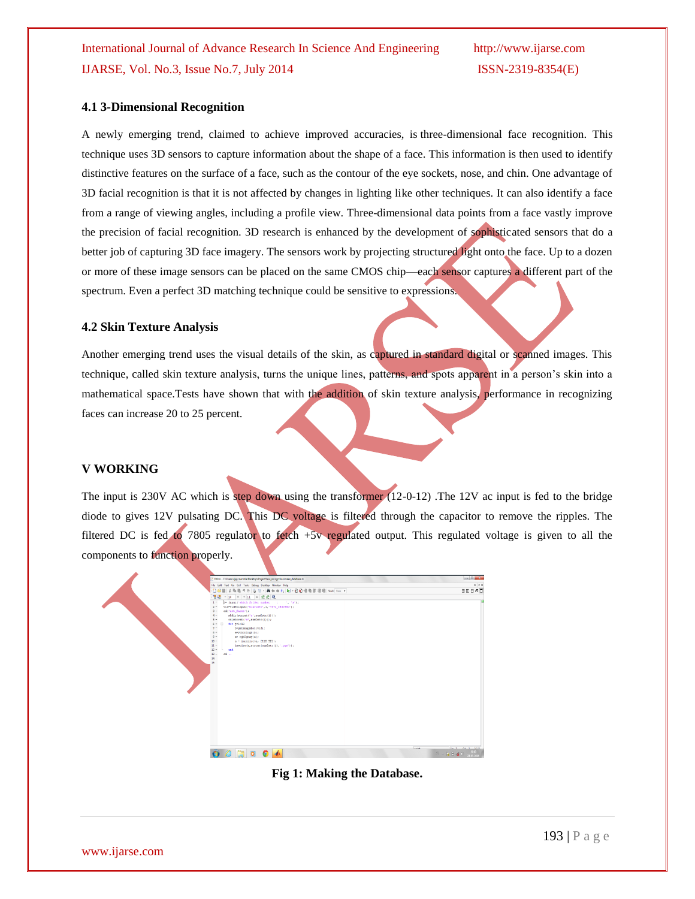#### **4.1 3-Dimensional Recognition**

A newly emerging trend, claimed to achieve improved accuracies, is [three-dimensional face recognition.](http://en.wikipedia.org/wiki/Three-dimensional_face_recognition) This technique uses 3D sensors to capture information about the shape of a face. This information is then used to identify distinctive features on the surface of a face, such as the contour of the eye sockets, nose, and chin. One advantage of 3D facial recognition is that it is not affected by changes in lighting like other techniques. It can also identify a face from a range of viewing angles, including a profile view. Three-dimensional data points from a face vastly improve the precision of facial recognition. 3D research is enhanced by the development of sophisticated sensors that do a better job of capturing 3D face imagery. The sensors work by projecting structured light onto the face. Up to a dozen or more of these image sensors can be placed on the same CMOS chip—each sensor captures a different part of the spectrum. Even a perfect 3D matching technique could be sensitive to expressions.

#### **4.2 Skin Texture Analysis**

Another emerging trend uses the visual details of the skin, as captured in standard digital or scanned images. This technique, called skin texture analysis, turns the unique lines, patterns, and spots apparent in a person's skin into a mathematical space.Tests have shown that with the addition of skin texture analysis, performance in recognizing faces can increase 20 to 25 percent.

#### **V WORKING**

The input is 230V AC which is step down using the transformer (12-0-12) .The 12V ac input is fed to the bridge diode to gives 12V pulsating DC. This DC voltage is filtered through the capacitor to remove the ripples. The filtered DC is fed to 7805 regulator to fetch +5v regulated output. This regulated voltage is given to all the components to function properly.

| Editor - Cillisers'uijay marodialDesktopliProjectVace_recognition/yriake_database.m | <b>Including Contracts</b>                                                                                                       |
|-------------------------------------------------------------------------------------|----------------------------------------------------------------------------------------------------------------------------------|
| File Edit Text Go Cell Tools Debug Desktop Window Help                              | $x \times x$                                                                                                                     |
| 1000 人物电力(200 ) 关于中的 2 - 000 电电阻电阻 200 Box -                                        | 田田日の口                                                                                                                            |
| 看唱 - 10 + + 11 × ※ ※ 0                                                              |                                                                                                                                  |
| $1 -$<br>a= input ('which folder number = : ', 'm');                                |                                                                                                                                  |
| $2 -$<br>vid=videoinput('winvideo',1,'TUY2_640x480');                               |                                                                                                                                  |
| $3 -$<br>ed('att_faces');<br>$4 -$<br>wkdir (streat('s', numlstr(1))) ;             |                                                                                                                                  |
| $5 -$<br>$cd(\text{streat}('s', \text{num2str}(i)))$ :                              |                                                                                                                                  |
| $6 - 1$<br>$for 1-1:10$                                                             |                                                                                                                                  |
| $2 -$<br>b=getsnapshot (vid);                                                       |                                                                                                                                  |
| $8 -$<br>e-veber2rab (b) ;                                                          |                                                                                                                                  |
| $9 -$<br>a= rgb2gray(a);<br>$10 -$<br>$a =$ incesize $ a_r $ [112-92]];             |                                                                                                                                  |
| $11 -$<br>inwrite (a, streat (numlstr (j), '.pgm'));                                |                                                                                                                                  |
| $12 -$<br>end                                                                       |                                                                                                                                  |
| $13 -$<br>cd                                                                        |                                                                                                                                  |
| 14<br>15                                                                            |                                                                                                                                  |
|                                                                                     |                                                                                                                                  |
|                                                                                     |                                                                                                                                  |
|                                                                                     |                                                                                                                                  |
|                                                                                     |                                                                                                                                  |
|                                                                                     |                                                                                                                                  |
|                                                                                     |                                                                                                                                  |
|                                                                                     |                                                                                                                                  |
|                                                                                     |                                                                                                                                  |
|                                                                                     |                                                                                                                                  |
|                                                                                     |                                                                                                                                  |
|                                                                                     |                                                                                                                                  |
|                                                                                     |                                                                                                                                  |
|                                                                                     |                                                                                                                                  |
|                                                                                     |                                                                                                                                  |
|                                                                                     |                                                                                                                                  |
|                                                                                     |                                                                                                                                  |
| <b>Louist</b>                                                                       | The 4 Pet 4 Doct                                                                                                                 |
| $\theta$ a o $\theta$                                                               | $\phi_{\text{in}} = \frac{1}{12} \left( 1 - \frac{1}{2} \right) \left( 0 - \frac{1}{12} \right) \left( 0 - \frac{1}{12} \right)$ |
|                                                                                     |                                                                                                                                  |

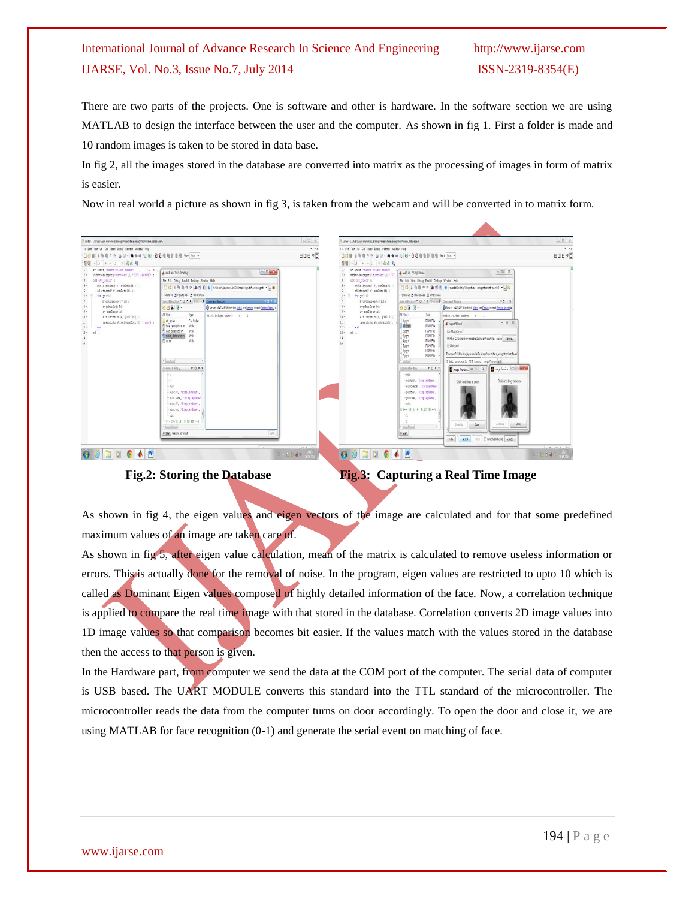There are two parts of the projects. One is software and other is hardware. In the software section we are using MATLAB to design the interface between the user and the computer. As shown in fig 1. First a folder is made and 10 random images is taken to be stored in data base.

In fig 2, all the images stored in the database are converted into matrix as the processing of images in form of matrix is easier.

Now in real world a picture as shown in fig 3, is taken from the webcam and will be converted in to matrix form.



 **Fig.2: Storing the Database Fig.3: Capturing a Real Time Image**

As shown in fig 4, the eigen values and eigen vectors of the image are calculated and for that some predefined maximum values of an image are taken care of.

As shown in fig 5, after eigen value calculation, mean of the matrix is calculated to remove useless information or errors. This is actually done for the removal of noise. In the program, eigen values are restricted to upto 10 which is called as Dominant Eigen values composed of highly detailed information of the face. Now, a correlation technique is applied to compare the real time image with that stored in the database. Correlation converts 2D image values into 1D image values so that comparison becomes bit easier. If the values match with the values stored in the database then the access to that person is given.

In the Hardware part, from computer we send the data at the COM port of the computer. The serial data of computer is USB based. The UART MODULE converts this standard into the TTL standard of the microcontroller. The microcontroller reads the data from the computer turns on door accordingly. To open the door and close it, we are using MATLAB for face recognition (0-1) and generate the serial event on matching of face.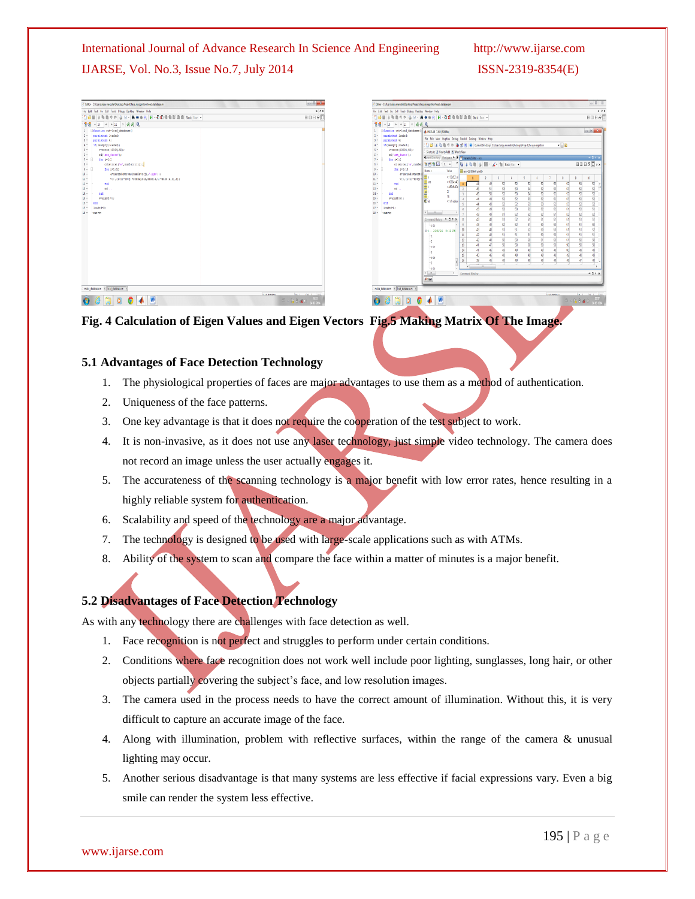### International Journal of Advance Research In Science And Engineering http://www.ijarse.com

### IJARSE, Vol. No.3, Issue No.7, July 2014 ISSN-2319-8354(E)

| Editor - C/Wsers/vijay marodia\Desktop/Project/face_recognition/Joad_database.m                                                                                                                                                                                                                                                                                                                                                                                                                                                                            | $0.8 - 0.0$                                                                                                                | Editor - Cittleentwijny marodial Desktopl Project dace_recognitionitiond_database.m                                                                                                                                                                                                                                                                                                                                                                                                                                                                                                                                                                                                                                                                                                                                                                                                                                                                                                                                                                                                                                                                                                                                                                                                                                                                                                                                                                                                                                                                                                                                                                                                                                                    | $-82$                                                                                                                                                                                                                                                                                                                                                                                                                                                                                                                                                                                                                                                                                                                                                                                                                                                                                                                                                                                                                                           |
|------------------------------------------------------------------------------------------------------------------------------------------------------------------------------------------------------------------------------------------------------------------------------------------------------------------------------------------------------------------------------------------------------------------------------------------------------------------------------------------------------------------------------------------------------------|----------------------------------------------------------------------------------------------------------------------------|----------------------------------------------------------------------------------------------------------------------------------------------------------------------------------------------------------------------------------------------------------------------------------------------------------------------------------------------------------------------------------------------------------------------------------------------------------------------------------------------------------------------------------------------------------------------------------------------------------------------------------------------------------------------------------------------------------------------------------------------------------------------------------------------------------------------------------------------------------------------------------------------------------------------------------------------------------------------------------------------------------------------------------------------------------------------------------------------------------------------------------------------------------------------------------------------------------------------------------------------------------------------------------------------------------------------------------------------------------------------------------------------------------------------------------------------------------------------------------------------------------------------------------------------------------------------------------------------------------------------------------------------------------------------------------------------------------------------------------------|-------------------------------------------------------------------------------------------------------------------------------------------------------------------------------------------------------------------------------------------------------------------------------------------------------------------------------------------------------------------------------------------------------------------------------------------------------------------------------------------------------------------------------------------------------------------------------------------------------------------------------------------------------------------------------------------------------------------------------------------------------------------------------------------------------------------------------------------------------------------------------------------------------------------------------------------------------------------------------------------------------------------------------------------------|
| File Edit Text Go Cell Tools Debug Desktop Window Help                                                                                                                                                                                                                                                                                                                                                                                                                                                                                                     | 3.8X                                                                                                                       | File Edit Text Go Cell Tools Debug Desitop Window Help                                                                                                                                                                                                                                                                                                                                                                                                                                                                                                                                                                                                                                                                                                                                                                                                                                                                                                                                                                                                                                                                                                                                                                                                                                                                                                                                                                                                                                                                                                                                                                                                                                                                                 | 27                                                                                                                                                                                                                                                                                                                                                                                                                                                                                                                                                                                                                                                                                                                                                                                                                                                                                                                                                                                                                                              |
| 1000 KRAOO G G · A + + A D · B · B · B · B · B · A · Fax ·                                                                                                                                                                                                                                                                                                                                                                                                                                                                                                 | 80860                                                                                                                      |                                                                                                                                                                                                                                                                                                                                                                                                                                                                                                                                                                                                                                                                                                                                                                                                                                                                                                                                                                                                                                                                                                                                                                                                                                                                                                                                                                                                                                                                                                                                                                                                                                                                                                                                        | <b>BOB&amp;C</b>                                                                                                                                                                                                                                                                                                                                                                                                                                                                                                                                                                                                                                                                                                                                                                                                                                                                                                                                                                                                                                |
| 웹 B - 11 + + 11 × 종종 0                                                                                                                                                                                                                                                                                                                                                                                                                                                                                                                                     |                                                                                                                            | 원래 - 11 + + 11 × 품준 0.                                                                                                                                                                                                                                                                                                                                                                                                                                                                                                                                                                                                                                                                                                                                                                                                                                                                                                                                                                                                                                                                                                                                                                                                                                                                                                                                                                                                                                                                                                                                                                                                                                                                                                                 |                                                                                                                                                                                                                                                                                                                                                                                                                                                                                                                                                                                                                                                                                                                                                                                                                                                                                                                                                                                                                                                 |
| function out-load database(<br>$2 -$<br>permistent loaded:<br>$3 -$<br>persistent w;<br>$4 -$<br>if (isempty (loaded))<br>$5 -$<br>v=zeros (10304, 40) ;<br>$6 -$<br>ed('att_faces');<br>$7 -$<br>for $i=1:2$<br>$8 -$<br>cd(strcat)'s', numlatr(i)));<br>$9 -$<br>for j=1:10<br>$10 -$<br>a=imread(streat(num2str(j),'.ggm'));<br>$\mathfrak{u}$ -<br>$V(1, (1-1)$ "10+j) "ceshape (a, size (a, 1) "size (a, 2), 1);<br>$12 -$<br>end<br>$13 -$<br>cd<br>$14 -$<br>end<br>$15 -$<br>www.int8(v);<br>$16 -$<br>ent<br>$17 -$<br>loaded*D:<br>$18 -$ cut-w; |                                                                                                                            | function out=load database<br><b>A MATLAB 7.6.0 (R2008a)</b><br>permistent loaded:<br>File Edit View Graphics Debug Parallel Desktop Window Help<br>persistent w;<br>[ ] 2   3   2   1   1   1   2   2   2   Current Directory: Citizensing mandal Destap Project face reception<br>if (isempty (loaded) )<br>v=zeros(10304, 40);<br>$5 -$<br>Shartzuts (8) How to Add (8) What's New<br>ed('att_faces');<br>$6 -$<br>I avent Directory Westcoace ** > [19] Vanishe Editor - ans<br>$7 -$<br>for $i=1:2$<br>$8 -$<br>$9 -$<br>for 5*1:10<br><b>Value</b><br><b>H</b> ard (2014-4 untb)<br>Name -<br>$10 -$<br>a=incead strcat<br><112 62 ul<br>$\overline{4}$<br>$11 -$<br>$T(1, (1-1)^{n}10+1)$<br>$< 10304 + 40$<br>Has<br>$12 -$<br>52<br>a<br>end<br><#00:640x<br>53<br>$13 -$<br>k.<br>od<br>$14 -$<br>41<br>52<br>est.<br>10 <sup>1</sup><br>$15 -$<br>width(Ev):<br>52<br><b>B</b> w<br><trt used<br=""><math>16 -</math><br/>52<br/><math>17 -</math><br/>loaded=0;<br/>52<br/><math>\mathbf{f}</math><br/>n<br/>n<br/><math>4 - 12</math><br/><math>18 -</math><br/>out=up<br/>E1<br/>Command History P D P X<br/>51<br/>52<br/>B<br/><math>\overline{\phantom{a}}</math><br/>Inede<br/>51<br/>B<br/><math>\mathbf{v}</math><br/>84-24/5/14 8:10 PM<br/>51<br/>11<br/><math>\mathbf{H}</math><br/><math>\mathbf{p}</math><br/>50<br/>n<br/>B<br/>-2<br/>50<br/><math>\mathbb{R}</math><br/>-cic<br/><b>M</b><br/>19<br/><math>\mathbf{s}</math><br/>-ele<br/><math>\overline{36}</math><br/>a<br/>6<br/><math>\mathbf{H}</math><br/><math>-0.01</math><br/>line de<br/><math display="inline">\epsilon</math> . <math display="inline">\kappa</math><br/>Command Window<br/><math>\rightarrow</math><br/><b>4 Start</b></trt> | $\Box$<br>$-10$<br>$-011$<br>$\boxplus \boxplus \boxplus \# \textcircled{1} \star \texttt{x}$<br>$\mathfrak{A}$<br>$\epsilon$<br>52<br>52 <sup>1</sup><br>53<br>$\overline{\mathbb{Q}}$<br>s,<br>52<br>52<br>53<br>54<br>52<br>52<br>$\mathbf{r}$<br>53<br>53<br>52<br>53<br>54<br>$\overline{5}$<br>7<br>$\overline{a}$<br>47<br>52<br>63<br>$\overline{52}$<br>52<br>53<br>$\mathbf{S}$<br>52<br>52<br>53<br>$\overline{a}$<br>43<br>52<br>$\overline{13}$<br>52<br>53<br>52 <sub>1</sub><br>Đ<br>51<br>$\mathbf{S}$<br>51<br>$\overline{S}$<br>52<br>52 <sup>1</sup><br>$\overline{\mathbb{Q}}$<br>$\mathbf{c}$<br>52<br>55<br>£1<br>52<br>k.<br>$\mathbb{R}^n$<br>s.<br>51<br>D.<br>Ct.<br>52<br>K1<br>$\epsilon_1$<br>50<br>50<br>57.<br>E1<br>51<br>62<br>50<br>s.<br>52<br>$\overline{50}$<br>51<br>K1<br>51<br>K1<br>57.<br>望<br>51<br>50<br>50<br>50<br>51<br>51<br>50<br>A.<br>50<br>m<br>50<br>$\overline{1}$<br>A1<br>R0<br>C.<br>41<br>n<br>ø.<br>8<br>8<br>n<br>s<br>n<br>48<br>$\mathbb{R}$<br>s<br>D<br>49<br>B<br>48<br>$-11x$ |
| make databasem x laad databasem                                                                                                                                                                                                                                                                                                                                                                                                                                                                                                                            |                                                                                                                            | make databasem X load databasem                                                                                                                                                                                                                                                                                                                                                                                                                                                                                                                                                                                                                                                                                                                                                                                                                                                                                                                                                                                                                                                                                                                                                                                                                                                                                                                                                                                                                                                                                                                                                                                                                                                                                                        |                                                                                                                                                                                                                                                                                                                                                                                                                                                                                                                                                                                                                                                                                                                                                                                                                                                                                                                                                                                                                                                 |
| $\frac{1}{\sqrt{2}}$<br>$\bullet$ $\bullet$ $\bullet$ $\bullet$                                                                                                                                                                                                                                                                                                                                                                                                                                                                                            | <b>Indiana</b><br>the 4 Paint Did<br>$\mathcal{C}=\mathbf{R}$ if $\mathbf{A}\times\frac{m\mathcal{D}}{M\mathcal{D}^{(2)}}$ | $\bullet$ $\bullet$ $\bullet$<br>ű<br>$\boxed{0}$                                                                                                                                                                                                                                                                                                                                                                                                                                                                                                                                                                                                                                                                                                                                                                                                                                                                                                                                                                                                                                                                                                                                                                                                                                                                                                                                                                                                                                                                                                                                                                                                                                                                                      | <b>Industries</b><br><b>SALE ALL AD</b><br>$\frac{1}{2}$ - R $\frac{1}{2}$ of $\frac{1}{2}$                                                                                                                                                                                                                                                                                                                                                                                                                                                                                                                                                                                                                                                                                                                                                                                                                                                                                                                                                     |

#### **Fig. 4 Calculation of Eigen Values and Eigen Vectors Fig.5 Making Matrix Of The Image.**

#### **5.1 Advantages of Face Detection Technology**

- 1. The physiological properties of faces are major advantages to use them as a method of authentication.
- 2. Uniqueness of the face patterns.
- 3. One key advantage is that it does not require the cooperation of the test subject to work.
- 4. It is non-invasive, as it does not use any laser technology, just simple video technology. The camera does not record an image unless the user actually engages it.
- 5. The accurateness of the scanning technology is a major benefit with low error rates, hence resulting in a highly reliable system for authentication.
- 6. Scalability and speed of the technology are a major advantage.
- 7. The technology is designed to be used with large-scale applications such as with ATMs.
- 8. Ability of the system to scan and compare the face within a matter of minutes is a major benefit.

#### **5.2 Disadvantages of Face Detection Technology**

As with any technology there are challenges with face detection as well.

- 1. Face recognition is not perfect and struggles to perform under certain conditions.
- 2. Conditions where face recognition does not work well include poor lighting, sunglasses, long hair, or other objects partially covering the subject's face, and low resolution images.
- 3. The camera used in the process needs to have the correct amount of illumination. Without this, it is very difficult to capture an accurate image of the face.
- 4. Along with illumination, problem with reflective surfaces, within the range of the camera & unusual lighting may occur.
- 5. Another serious disadvantage is that many systems are less effective if facial expressions vary. Even a big smile can render the system less effective.